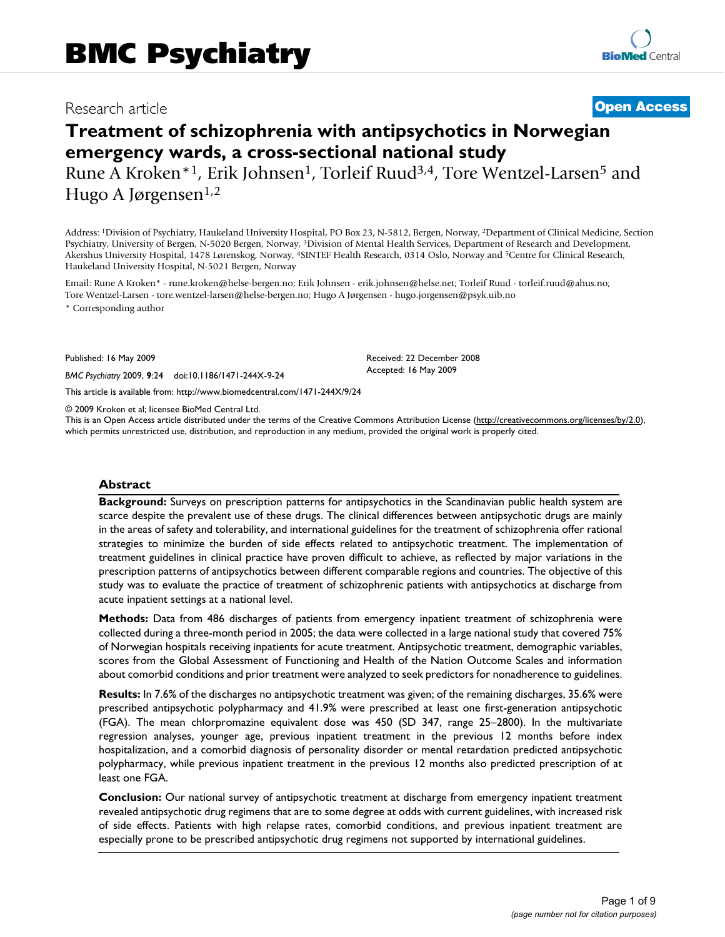# Research article **[Open Access](http://www.biomedcentral.com/info/about/charter/)**

# **Treatment of schizophrenia with antipsychotics in Norwegian emergency wards, a cross-sectional national study**

Rune A Kroken\*<sup>1</sup>, Erik Johnsen<sup>1</sup>, Torleif Ruud<sup>3,4</sup>, Tore Wentzel-Larsen<sup>5</sup> and Hugo A Jørgensen<sup>1,2</sup>

Address: 1Division of Psychiatry, Haukeland University Hospital, PO Box 23, N-5812, Bergen, Norway, 2Department of Clinical Medicine, Section Psychiatry, University of Bergen, N-5020 Bergen, Norway, 3Division of Mental Health Services, Department of Research and Development, Akershus University Hospital, 1478 Lørenskog, Norway, 4SINTEF Health Research, 0314 Oslo, Norway and 5Centre for Clinical Research, Haukeland University Hospital, N-5021 Bergen, Norway

Email: Rune A Kroken\* - rune.kroken@helse-bergen.no; Erik Johnsen - erik.johnsen@helse.net; Torleif Ruud - torleif.ruud@ahus.no; Tore Wentzel-Larsen - tore.wentzel-larsen@helse-bergen.no; Hugo A Jørgensen - hugo.jorgensen@psyk.uib.no

\* Corresponding author

Published: 16 May 2009

*BMC Psychiatry* 2009, **9**:24 doi:10.1186/1471-244X-9-24

[This article is available from: http://www.biomedcentral.com/1471-244X/9/24](http://www.biomedcentral.com/1471-244X/9/24)

© 2009 Kroken et al; licensee BioMed Central Ltd.

This is an Open Access article distributed under the terms of the Creative Commons Attribution License [\(http://creativecommons.org/licenses/by/2.0\)](http://creativecommons.org/licenses/by/2.0), which permits unrestricted use, distribution, and reproduction in any medium, provided the original work is properly cited.

Received: 22 December 2008 Accepted: 16 May 2009

# **Abstract**

**Background:** Surveys on prescription patterns for antipsychotics in the Scandinavian public health system are scarce despite the prevalent use of these drugs. The clinical differences between antipsychotic drugs are mainly in the areas of safety and tolerability, and international guidelines for the treatment of schizophrenia offer rational strategies to minimize the burden of side effects related to antipsychotic treatment. The implementation of treatment guidelines in clinical practice have proven difficult to achieve, as reflected by major variations in the prescription patterns of antipsychotics between different comparable regions and countries. The objective of this study was to evaluate the practice of treatment of schizophrenic patients with antipsychotics at discharge from acute inpatient settings at a national level.

**Methods:** Data from 486 discharges of patients from emergency inpatient treatment of schizophrenia were collected during a three-month period in 2005; the data were collected in a large national study that covered 75% of Norwegian hospitals receiving inpatients for acute treatment. Antipsychotic treatment, demographic variables, scores from the Global Assessment of Functioning and Health of the Nation Outcome Scales and information about comorbid conditions and prior treatment were analyzed to seek predictors for nonadherence to guidelines.

**Results:** In 7.6% of the discharges no antipsychotic treatment was given; of the remaining discharges, 35.6% were prescribed antipsychotic polypharmacy and 41.9% were prescribed at least one first-generation antipsychotic (FGA). The mean chlorpromazine equivalent dose was 450 (SD 347, range 25–2800). In the multivariate regression analyses, younger age, previous inpatient treatment in the previous 12 months before index hospitalization, and a comorbid diagnosis of personality disorder or mental retardation predicted antipsychotic polypharmacy, while previous inpatient treatment in the previous 12 months also predicted prescription of at least one FGA.

**Conclusion:** Our national survey of antipsychotic treatment at discharge from emergency inpatient treatment revealed antipsychotic drug regimens that are to some degree at odds with current guidelines, with increased risk of side effects. Patients with high relapse rates, comorbid conditions, and previous inpatient treatment are especially prone to be prescribed antipsychotic drug regimens not supported by international guidelines.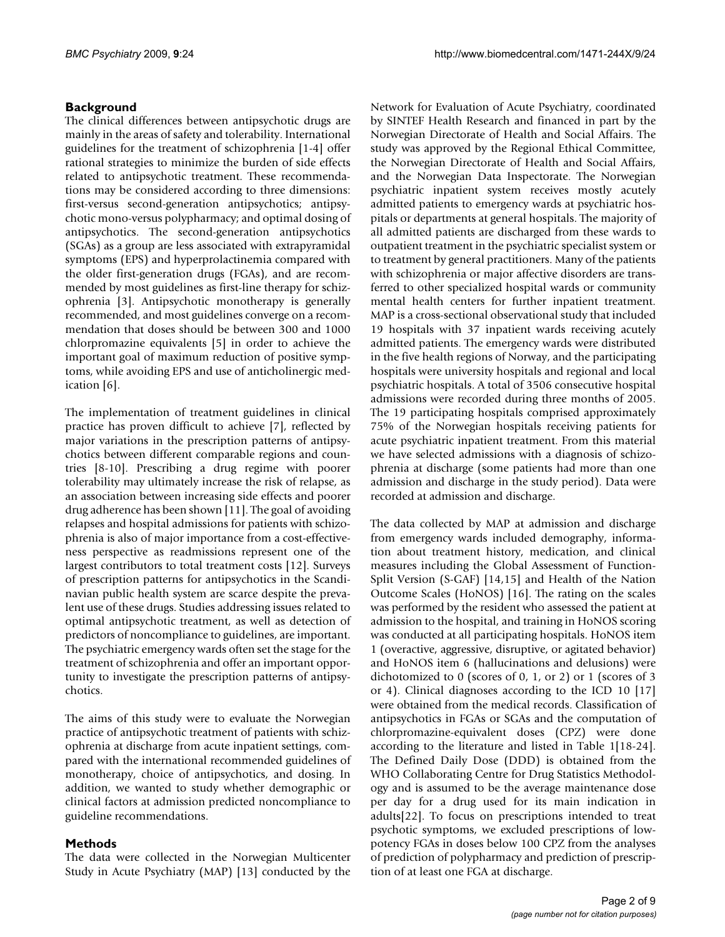# **Background**

The clinical differences between antipsychotic drugs are mainly in the areas of safety and tolerability. International guidelines for the treatment of schizophrenia [[1](#page-7-0)[-4\]](#page-7-1) offer rational strategies to minimize the burden of side effects related to antipsychotic treatment. These recommendations may be considered according to three dimensions: first-versus second-generation antipsychotics; antipsychotic mono-versus polypharmacy; and optimal dosing of antipsychotics. The second-generation antipsychotics (SGAs) as a group are less associated with extrapyramidal symptoms (EPS) and hyperprolactinemia compared with the older first-generation drugs (FGAs), and are recommended by most guidelines as first-line therapy for schizophrenia [\[3\]](#page-7-2). Antipsychotic monotherapy is generally recommended, and most guidelines converge on a recommendation that doses should be between 300 and 1000 chlorpromazine equivalents [\[5\]](#page-7-3) in order to achieve the important goal of maximum reduction of positive symptoms, while avoiding EPS and use of anticholinergic medication [\[6\]](#page-7-4).

The implementation of treatment guidelines in clinical practice has proven difficult to achieve [\[7](#page-7-5)], reflected by major variations in the prescription patterns of antipsychotics between different comparable regions and countries [\[8-](#page-7-6)[10](#page-7-7)]. Prescribing a drug regime with poorer tolerability may ultimately increase the risk of relapse, as an association between increasing side effects and poorer drug adherence has been shown [\[11\]](#page-7-8). The goal of avoiding relapses and hospital admissions for patients with schizophrenia is also of major importance from a cost-effectiveness perspective as readmissions represent one of the largest contributors to total treatment costs [[12\]](#page-7-9). Surveys of prescription patterns for antipsychotics in the Scandinavian public health system are scarce despite the prevalent use of these drugs. Studies addressing issues related to optimal antipsychotic treatment, as well as detection of predictors of noncompliance to guidelines, are important. The psychiatric emergency wards often set the stage for the treatment of schizophrenia and offer an important opportunity to investigate the prescription patterns of antipsychotics.

The aims of this study were to evaluate the Norwegian practice of antipsychotic treatment of patients with schizophrenia at discharge from acute inpatient settings, compared with the international recommended guidelines of monotherapy, choice of antipsychotics, and dosing. In addition, we wanted to study whether demographic or clinical factors at admission predicted noncompliance to guideline recommendations.

# **Methods**

The data were collected in the Norwegian Multicenter Study in Acute Psychiatry (MAP) [\[13](#page-8-0)] conducted by the Network for Evaluation of Acute Psychiatry, coordinated by SINTEF Health Research and financed in part by the Norwegian Directorate of Health and Social Affairs. The study was approved by the Regional Ethical Committee, the Norwegian Directorate of Health and Social Affairs, and the Norwegian Data Inspectorate. The Norwegian psychiatric inpatient system receives mostly acutely admitted patients to emergency wards at psychiatric hospitals or departments at general hospitals. The majority of all admitted patients are discharged from these wards to outpatient treatment in the psychiatric specialist system or to treatment by general practitioners. Many of the patients with schizophrenia or major affective disorders are transferred to other specialized hospital wards or community mental health centers for further inpatient treatment. MAP is a cross-sectional observational study that included 19 hospitals with 37 inpatient wards receiving acutely admitted patients. The emergency wards were distributed in the five health regions of Norway, and the participating hospitals were university hospitals and regional and local psychiatric hospitals. A total of 3506 consecutive hospital admissions were recorded during three months of 2005. The 19 participating hospitals comprised approximately 75% of the Norwegian hospitals receiving patients for acute psychiatric inpatient treatment. From this material we have selected admissions with a diagnosis of schizophrenia at discharge (some patients had more than one admission and discharge in the study period). Data were recorded at admission and discharge.

The data collected by MAP at admission and discharge from emergency wards included demography, information about treatment history, medication, and clinical measures including the Global Assessment of Function-Split Version (S-GAF) [\[14](#page-8-1),[15\]](#page-8-2) and Health of the Nation Outcome Scales (HoNOS) [\[16](#page-8-3)]. The rating on the scales was performed by the resident who assessed the patient at admission to the hospital, and training in HoNOS scoring was conducted at all participating hospitals. HoNOS item 1 (overactive, aggressive, disruptive, or agitated behavior) and HoNOS item 6 (hallucinations and delusions) were dichotomized to 0 (scores of 0, 1, or 2) or 1 (scores of 3 or 4). Clinical diagnoses according to the ICD 10 [[17\]](#page-8-4) were obtained from the medical records. Classification of antipsychotics in FGAs or SGAs and the computation of chlorpromazine-equivalent doses (CPZ) were done according to the literature and listed in Table [1](#page-2-0)[\[18](#page-8-5)[-24](#page-8-6)]. The Defined Daily Dose (DDD) is obtained from the WHO Collaborating Centre for Drug Statistics Methodology and is assumed to be the average maintenance dose per day for a drug used for its main indication in adults[\[22\]](#page-8-7). To focus on prescriptions intended to treat psychotic symptoms, we excluded prescriptions of lowpotency FGAs in doses below 100 CPZ from the analyses of prediction of polypharmacy and prediction of prescription of at least one FGA at discharge.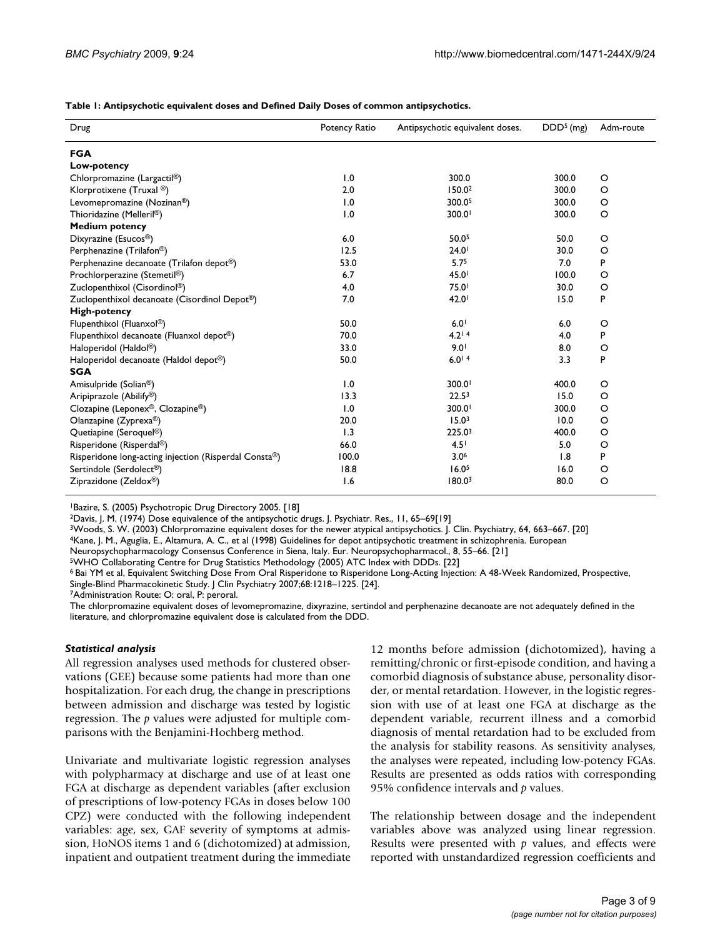<span id="page-2-0"></span>**Table 1: Antipsychotic equivalent doses and Defined Daily Doses of common antipsychotics.**

| Drug                                                  | Potency Ratio | Antipsychotic equivalent doses. | $DDD5$ (mg) | Adm-route |
|-------------------------------------------------------|---------------|---------------------------------|-------------|-----------|
| <b>FGA</b>                                            |               |                                 |             |           |
| Low-potency                                           |               |                                 |             |           |
| Chlorpromazine (Largactil®)                           | 1.0           | 300.0                           | 300.0       | O         |
| Klorprotixene (Truxal ®)                              | 2.0           | 150.0 <sup>2</sup>              | 300.0       | O         |
| Levomepromazine (Nozinan <sup>®</sup> )               | 1.0           | 300.05                          | 300.0       | O         |
| Thioridazine (Melleril <sup>®</sup> )                 | 1.0           | 300.0                           | 300.0       | O         |
| <b>Medium potency</b>                                 |               |                                 |             |           |
| Dixyrazine (Esucos <sup>®</sup> )                     | 6.0           | 50.05                           | 50.0        | O         |
| Perphenazine (Trilafon®)                              | 12.5          | 24.0 <sup>1</sup>               | 30.0        | O         |
| Perphenazine decanoate (Trilafon depot®)              | 53.0          | 5.7 <sup>5</sup>                | 7.0         | P         |
| Prochlorperazine (Stemetil®)                          | 6.7           | 45.0                            | 100.0       | $\circ$   |
| Zuclopenthixol (Cisordinol®)                          | 4.0           | 75.0                            | 30.0        | $\circ$   |
| Zuclopenthixol decanoate (Cisordinol Depot®)          | 7.0           | 42.0 <sup>1</sup>               | 15.0        | P         |
| <b>High-potency</b>                                   |               |                                 |             |           |
| Flupenthixol (Fluanxol®)                              | 50.0          | 6.0 <sup>1</sup>                | 6.0         | O         |
| Flupenthixol decanoate (Fluanxol depot®)              | 70.0          | $4.2^{14}$                      | 4.0         | P         |
| Haloperidol (Haldol®)                                 | 33.0          | 9.0 <sup>1</sup>                | 8.0         | $\circ$   |
| Haloperidol decanoate (Haldol depot®)                 | 50.0          | 6.014                           | 3.3         | P         |
| <b>SGA</b>                                            |               |                                 |             |           |
| Amisulpride (Solian <sup>®</sup> )                    | 1.0           | 300.0                           | 400.0       | O         |
| Aripiprazole (Abilify <sup>®</sup> )                  | 13.3          | 22.5 <sup>3</sup>               | 15.0        | O         |
| Clozapine (Leponex <sup>®</sup> , Clozapine®)         | 1.0           | 300.0                           | 300.0       | O         |
| Olanzapine (Zyprexa®)                                 | 20.0          | 15.0 <sup>3</sup>               | 10.0        | O         |
| Quetiapine (Seroquel <sup>®</sup> )                   | 1.3           | 225.03                          | 400.0       | O         |
| Risperidone (Risperdal <sup>®</sup> )                 | 66.0          | 4.5 <sup>1</sup>                | 5.0         | O         |
| Risperidone long-acting injection (Risperdal Consta®) | 100.0         | 3.06                            | 1.8         | P         |
| Sertindole (Serdolect®)                               | 18.8          | 16.0 <sup>5</sup>               | 16.0        | O         |
| Ziprazidone (Zeldox <sup>®</sup> )                    | 1.6           | 180.0 <sup>3</sup>              | 80.0        | O         |

1Bazire, S. (2005) Psychotropic Drug Directory 2005. [\[18\]](#page-8-5)

2Davis, J. M. (1974) Dose equivalence of the antipsychotic drugs. J. Psychiatr. Res., 11, 65–69[\[19\]](#page-8-8)

3Woods, S. W. (2003) Chlorpromazine equivalent doses for the newer atypical antipsychotics. J. Clin. Psychiatry, 64, 663–667. [\[20\]](#page-8-9)

4Kane, J. M., Aguglia, E., Altamura, A. C., et al (1998) Guidelines for depot antipsychotic treatment in schizophrenia. European

Neuropsychopharmacology Consensus Conference in Siena, Italy. Eur. Neuropsychopharmacol., 8, 55–66. [\[21\]](#page-8-10)

5WHO Collaborating Centre for Drug Statistics Methodology (2005) ATC Index with DDDs. [\[22\]](#page-8-7)

6 Bai YM et al, Equivalent Switching Dose From Oral Risperidone to Risperidone Long-Acting Injection: A 48-Week Randomized, Prospective, Single-Blind Pharmacokinetic Study. J Clin Psychiatry 2007;68:1218–1225. [[24](#page-8-6)].

7Administration Route: O: oral, P: peroral.

The chlorpromazine equivalent doses of levomepromazine, dixyrazine, sertindol and perphenazine decanoate are not adequately defined in the literature, and chlorpromazine equivalent dose is calculated from the DDD.

### *Statistical analysis*

All regression analyses used methods for clustered observations (GEE) because some patients had more than one hospitalization. For each drug, the change in prescriptions between admission and discharge was tested by logistic regression. The *p* values were adjusted for multiple comparisons with the Benjamini-Hochberg method.

Univariate and multivariate logistic regression analyses with polypharmacy at discharge and use of at least one FGA at discharge as dependent variables (after exclusion of prescriptions of low-potency FGAs in doses below 100 CPZ) were conducted with the following independent variables: age, sex, GAF severity of symptoms at admission, HoNOS items 1 and 6 (dichotomized) at admission, inpatient and outpatient treatment during the immediate

12 months before admission (dichotomized), having a remitting/chronic or first-episode condition, and having a comorbid diagnosis of substance abuse, personality disorder, or mental retardation. However, in the logistic regression with use of at least one FGA at discharge as the dependent variable, recurrent illness and a comorbid diagnosis of mental retardation had to be excluded from the analysis for stability reasons. As sensitivity analyses, the analyses were repeated, including low-potency FGAs. Results are presented as odds ratios with corresponding 95% confidence intervals and *p* values.

The relationship between dosage and the independent variables above was analyzed using linear regression. Results were presented with *p* values, and effects were reported with unstandardized regression coefficients and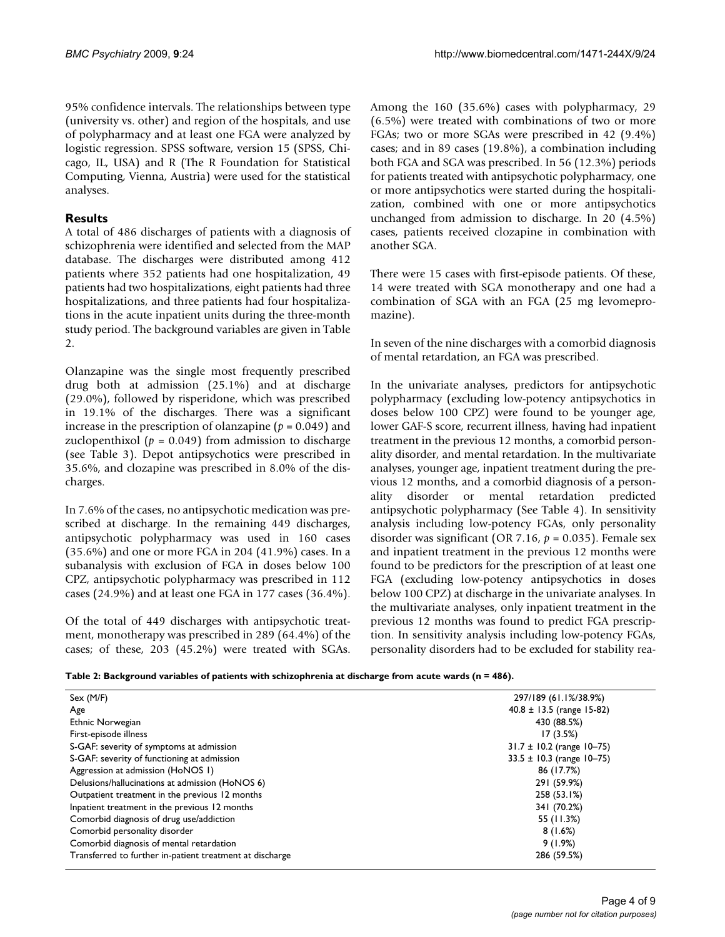95% confidence intervals. The relationships between type (university vs. other) and region of the hospitals, and use of polypharmacy and at least one FGA were analyzed by logistic regression. SPSS software, version 15 (SPSS, Chicago, IL, USA) and R (The R Foundation for Statistical Computing, Vienna, Austria) were used for the statistical analyses.

# **Results**

A total of 486 discharges of patients with a diagnosis of schizophrenia were identified and selected from the MAP database. The discharges were distributed among 412 patients where 352 patients had one hospitalization, 49 patients had two hospitalizations, eight patients had three hospitalizations, and three patients had four hospitalizations in the acute inpatient units during the three-month study period. The background variables are given in Table [2.](#page-3-0)

Olanzapine was the single most frequently prescribed drug both at admission (25.1%) and at discharge (29.0%), followed by risperidone, which was prescribed in 19.1% of the discharges. There was a significant increase in the prescription of olanzapine  $(p = 0.049)$  and zuclopenthixol  $(p = 0.049)$  from admission to discharge (see Table [3](#page-4-0)). Depot antipsychotics were prescribed in 35.6%, and clozapine was prescribed in 8.0% of the discharges.

In 7.6% of the cases, no antipsychotic medication was prescribed at discharge. In the remaining 449 discharges, antipsychotic polypharmacy was used in 160 cases (35.6%) and one or more FGA in 204 (41.9%) cases. In a subanalysis with exclusion of FGA in doses below 100 CPZ, antipsychotic polypharmacy was prescribed in 112 cases (24.9%) and at least one FGA in 177 cases (36.4%).

Of the total of 449 discharges with antipsychotic treatment, monotherapy was prescribed in 289 (64.4%) of the cases; of these, 203 (45.2%) were treated with SGAs.

Among the 160 (35.6%) cases with polypharmacy, 29 (6.5%) were treated with combinations of two or more FGAs; two or more SGAs were prescribed in 42 (9.4%) cases; and in 89 cases (19.8%), a combination including both FGA and SGA was prescribed. In 56 (12.3%) periods for patients treated with antipsychotic polypharmacy, one or more antipsychotics were started during the hospitalization, combined with one or more antipsychotics unchanged from admission to discharge. In 20 (4.5%) cases, patients received clozapine in combination with another SGA.

There were 15 cases with first-episode patients. Of these, 14 were treated with SGA monotherapy and one had a combination of SGA with an FGA (25 mg levomepromazine).

In seven of the nine discharges with a comorbid diagnosis of mental retardation, an FGA was prescribed.

In the univariate analyses, predictors for antipsychotic polypharmacy (excluding low-potency antipsychotics in doses below 100 CPZ) were found to be younger age, lower GAF-S score, recurrent illness, having had inpatient treatment in the previous 12 months, a comorbid personality disorder, and mental retardation. In the multivariate analyses, younger age, inpatient treatment during the previous 12 months, and a comorbid diagnosis of a personality disorder or mental retardation predicted antipsychotic polypharmacy (See Table [4\)](#page-5-0). In sensitivity analysis including low-potency FGAs, only personality disorder was significant (OR 7.16, *p* = 0.035). Female sex and inpatient treatment in the previous 12 months were found to be predictors for the prescription of at least one FGA (excluding low-potency antipsychotics in doses below 100 CPZ) at discharge in the univariate analyses. In the multivariate analyses, only inpatient treatment in the previous 12 months was found to predict FGA prescription. In sensitivity analysis including low-potency FGAs, personality disorders had to be excluded for stability rea-

<span id="page-3-0"></span>

| Table 2: Background variables of patients with schizophrenia at discharge from acute wards (n = 486). |  |  |  |
|-------------------------------------------------------------------------------------------------------|--|--|--|
|                                                                                                       |  |  |  |

| 297/189 (61.1%/38.9%)<br>$40.8 \pm 13.5$ (range 15-82) |
|--------------------------------------------------------|
|                                                        |
|                                                        |
| 430 (88.5%)                                            |
| 17(3.5%)                                               |
| $31.7 \pm 10.2$ (range 10-75)                          |
| 33.5 $\pm$ 10.3 (range 10-75)                          |
| 86 (17.7%)                                             |
| 291 (59.9%)                                            |
| 258 (53.1%)                                            |
| 341 (70.2%)                                            |
| 55 (11.3%)                                             |
| 8(1.6%)                                                |
| 9(1.9%)                                                |
| 286 (59.5%)                                            |
|                                                        |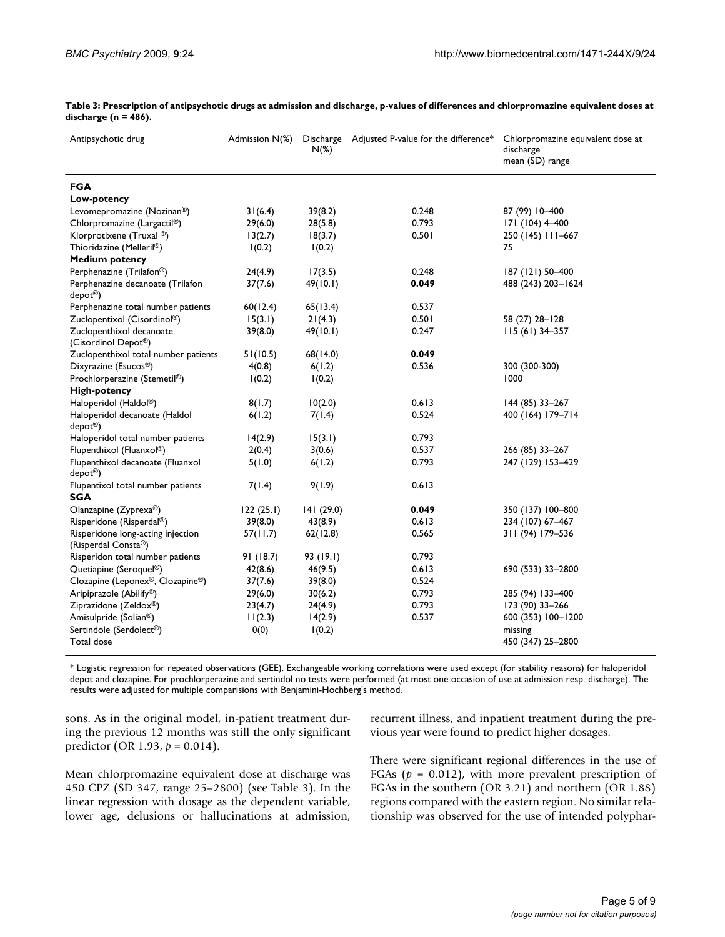| Antipsychotic drug                                       | Admission N(%) | Discharge<br>$N(\%)$ | Adjusted P-value for the difference* | Chlorpromazine equivalent dose at<br>discharge<br>mean (SD) range |  |
|----------------------------------------------------------|----------------|----------------------|--------------------------------------|-------------------------------------------------------------------|--|
| <b>FGA</b>                                               |                |                      |                                      |                                                                   |  |
| Low-potency                                              |                |                      |                                      |                                                                   |  |
| Levomepromazine (Nozinan <sup>®</sup> )                  | 31(6.4)        | 39(8.2)              | 0.248                                | 87 (99) 10-400                                                    |  |
| Chlorpromazine (Largactil®)                              | 29(6.0)        | 28(5.8)              | 0.793                                | 171 (104) 4-400                                                   |  |
| Klorprotixene (Truxal ®)                                 | 13(2.7)        | 18(3.7)              | 0.501                                | 250 (145) 111-667                                                 |  |
| Thioridazine (Melleril®)                                 | 1(0.2)         | 1(0.2)               |                                      | 75                                                                |  |
| <b>Medium potency</b>                                    |                |                      |                                      |                                                                   |  |
| Perphenazine (Trilafon®)                                 | 24(4.9)        | 17(3.5)              | 0.248                                | 187 (121) 50-400                                                  |  |
| Perphenazine decanoate (Trilafon<br>$depot^{\circledR})$ | 37(7.6)        | 49(10.1)             | 0.049                                | 488 (243) 203-1624                                                |  |
| Perphenazine total number patients                       | 60(12.4)       | 65(13.4)             | 0.537                                |                                                                   |  |
| Zuclopentixol (Cisordinol®)                              | 15(3.1)        | 21(4.3)              | 0.501                                | 58 (27) 28-128                                                    |  |
| Zuclopenthixol decanoate<br>(Cisordinol Depot®)          | 39(8.0)        | 49(10.1)             | 0.247                                | 115 (61) 34-357                                                   |  |
| Zuclopenthixol total number patients                     | 51(10.5)       | 68(14.0)             | 0.049                                |                                                                   |  |
| Dixyrazine (Esucos <sup>®</sup> )                        | 4(0.8)         | 6(1.2)               | 0.536                                | 300 (300-300)                                                     |  |
| Prochlorperazine (Stemetil®)                             | 1(0.2)         | 1(0.2)               |                                      | 1000                                                              |  |
| <b>High-potency</b>                                      |                |                      |                                      |                                                                   |  |
| Haloperidol (Haldol®)                                    | 8(1.7)         | 10(2.0)              | 0.613                                | 144 (85) 33-267                                                   |  |
| Haloperidol decanoate (Haldol<br>$depot^{\circledR})$    | 6(1.2)         | 7(1.4)               | 0.524                                | 400 (164) 179-714                                                 |  |
| Haloperidol total number patients                        | 14(2.9)        | 15(3.1)              | 0.793                                |                                                                   |  |
| Flupenthixol (Fluanxol®)                                 | 2(0.4)         | 3(0.6)               | 0.537                                | 266 (85) 33-267                                                   |  |
| Flupenthixol decanoate (Fluanxol<br>depot®)              | 5(1.0)         | 6(1.2)               | 0.793                                | 247 (129) 153-429                                                 |  |
| Flupentixol total number patients<br><b>SGA</b>          | 7(1.4)         | 9(1.9)               | 0.613                                |                                                                   |  |
| Olanzapine (Zyprexa®)                                    | 122(25.1)      | 141 (29.0)           | 0.049                                | 350 (137) 100-800                                                 |  |
| Risperidone (Risperdal®)                                 | 39(8.0)        | 43(8.9)              | 0.613                                | 234 (107) 67-467                                                  |  |
| Risperidone long-acting injection<br>(Risperdal Consta®) | 57(11.7)       | 62(12.8)             | 0.565                                | 311 (94) 179-536                                                  |  |
| Risperidon total number patients                         | 91 (18.7)      | 93 (19.1)            | 0.793                                |                                                                   |  |
| Quetiapine (Seroquel <sup>®</sup> )                      | 42(8.6)        | 46(9.5)              | 0.613                                | 690 (533) 33-2800                                                 |  |
| Clozapine (Leponex <sup>®</sup> , Clozapine®)            | 37(7.6)        | 39(8.0)              | 0.524                                |                                                                   |  |
| Aripiprazole (Abilify <sup>®</sup> )                     | 29(6.0)        | 30(6.2)              | 0.793                                | 285 (94) 133-400                                                  |  |
| Ziprazidone (Zeldox®)                                    | 23(4.7)        | 24(4.9)              | 0.793                                | 173 (90) 33-266                                                   |  |
| Amisulpride (Solian <sup>®</sup> )                       | 11(2.3)        | 14(2.9)              | 0.537                                | 600 (353) 100-1200                                                |  |
| Sertindole (Serdolect®)                                  | 0(0)           | 1(0.2)               |                                      | missing                                                           |  |
| Total dose                                               |                |                      |                                      | 450 (347) 25-2800                                                 |  |

<span id="page-4-0"></span>**Table 3: Prescription of antipsychotic drugs at admission and discharge, p-values of differences and chlorpromazine equivalent doses at discharge (n = 486).**

\* Logistic regression for repeated observations (GEE). Exchangeable working correlations were used except (for stability reasons) for haloperidol depot and clozapine. For prochlorperazine and sertindol no tests were performed (at most one occasion of use at admission resp. discharge). The results were adjusted for multiple comparisions with Benjamini-Hochberg's method.

sons. As in the original model, in-patient treatment during the previous 12 months was still the only significant predictor (OR 1.93, *p* = 0.014).

recurrent illness, and inpatient treatment during the previous year were found to predict higher dosages.

Mean chlorpromazine equivalent dose at discharge was 450 CPZ (SD 347, range 25–2800) (see Table [3\)](#page-4-0). In the linear regression with dosage as the dependent variable, lower age, delusions or hallucinations at admission,

There were significant regional differences in the use of FGAs ( $p = 0.012$ ), with more prevalent prescription of FGAs in the southern (OR 3.21) and northern (OR 1.88) regions compared with the eastern region. No similar relationship was observed for the use of intended polyphar-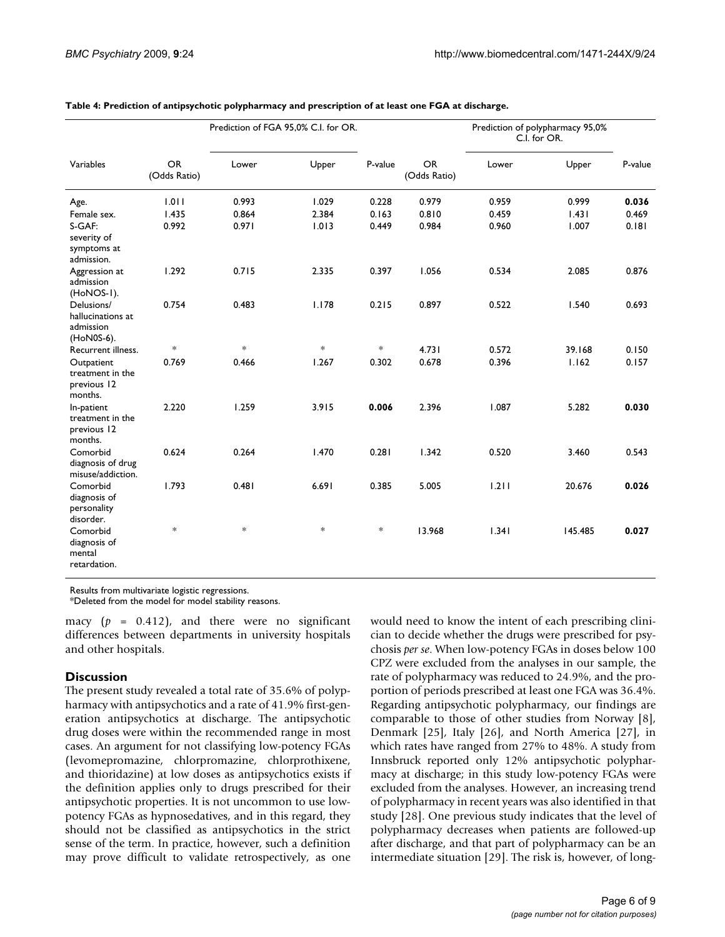|                                                            |                           | Prediction of FGA 95,0% C.I. for OR. |        |         |                           | Prediction of polypharmacy 95,0%<br>C.I. for OR. |         |         |
|------------------------------------------------------------|---------------------------|--------------------------------------|--------|---------|---------------------------|--------------------------------------------------|---------|---------|
| Variables                                                  | <b>OR</b><br>(Odds Ratio) | Lower                                | Upper  | P-value | <b>OR</b><br>(Odds Ratio) | Lower                                            | Upper   | P-value |
| Age.                                                       | 1.011                     | 0.993                                | 1.029  | 0.228   | 0.979                     | 0.959                                            | 0.999   | 0.036   |
| Female sex.                                                | 1.435                     | 0.864                                | 2.384  | 0.163   | 0.810                     | 0.459                                            | 1.431   | 0.469   |
| S-GAF:<br>severity of<br>symptoms at<br>admission.         | 0.992                     | 0.971                                | 1.013  | 0.449   | 0.984                     | 0.960                                            | 1.007   | 0.181   |
| Aggression at<br>admission<br>(HoNOS-I).                   | 1.292                     | 0.715                                | 2.335  | 0.397   | 1.056                     | 0.534                                            | 2.085   | 0.876   |
| Delusions/<br>hallucinations at<br>admission<br>(HoN0S-6). | 0.754                     | 0.483                                | 1.178  | 0.215   | 0.897                     | 0.522                                            | 1.540   | 0.693   |
| Recurrent illness.                                         | $\ast$                    | $\ast$                               | $\ast$ | $*$     | 4.731                     | 0.572                                            | 39.168  | 0.150   |
| Outpatient<br>treatment in the<br>previous 12<br>months.   | 0.769                     | 0.466                                | 1.267  | 0.302   | 0.678                     | 0.396                                            | 1.162   | 0.157   |
| In-patient<br>treatment in the<br>previous 12<br>months.   | 2.220                     | 1.259                                | 3.915  | 0.006   | 2.396                     | 1.087                                            | 5.282   | 0.030   |
| Comorbid<br>diagnosis of drug<br>misuse/addiction.         | 0.624                     | 0.264                                | 1.470  | 0.281   | 1.342                     | 0.520                                            | 3.460   | 0.543   |
| Comorbid<br>diagnosis of<br>personality<br>disorder.       | 1.793                     | 0.481                                | 6.691  | 0.385   | 5.005                     | 1.211                                            | 20.676  | 0.026   |
| Comorbid<br>diagnosis of<br>mental<br>retardation.         | $\ast$                    | $*$                                  | $*$    | $*$     | 13.968                    | 1.341                                            | 145.485 | 0.027   |

#### <span id="page-5-0"></span>**Table 4: Prediction of antipsychotic polypharmacy and prescription of at least one FGA at discharge.**

Results from multivariate logistic regressions.

\*Deleted from the model for model stability reasons.

macy  $(p = 0.412)$ , and there were no significant differences between departments in university hospitals and other hospitals.

# **Discussion**

The present study revealed a total rate of 35.6% of polypharmacy with antipsychotics and a rate of 41.9% first-generation antipsychotics at discharge. The antipsychotic drug doses were within the recommended range in most cases. An argument for not classifying low-potency FGAs (levomepromazine, chlorpromazine, chlorprothixene, and thioridazine) at low doses as antipsychotics exists if the definition applies only to drugs prescribed for their antipsychotic properties. It is not uncommon to use lowpotency FGAs as hypnosedatives, and in this regard, they should not be classified as antipsychotics in the strict sense of the term. In practice, however, such a definition may prove difficult to validate retrospectively, as one would need to know the intent of each prescribing clinician to decide whether the drugs were prescribed for psychosis *per se*. When low-potency FGAs in doses below 100 CPZ were excluded from the analyses in our sample, the rate of polypharmacy was reduced to 24.9%, and the proportion of periods prescribed at least one FGA was 36.4%. Regarding antipsychotic polypharmacy, our findings are comparable to those of other studies from Norway [[8](#page-7-6)], Denmark [[25\]](#page-8-11), Italy [\[26\]](#page-8-12), and North America [[27\]](#page-8-13), in which rates have ranged from 27% to 48%. A study from Innsbruck reported only 12% antipsychotic polypharmacy at discharge; in this study low-potency FGAs were excluded from the analyses. However, an increasing trend of polypharmacy in recent years was also identified in that study [\[28\]](#page-8-14). One previous study indicates that the level of polypharmacy decreases when patients are followed-up after discharge, and that part of polypharmacy can be an intermediate situation [[29](#page-8-15)]. The risk is, however, of long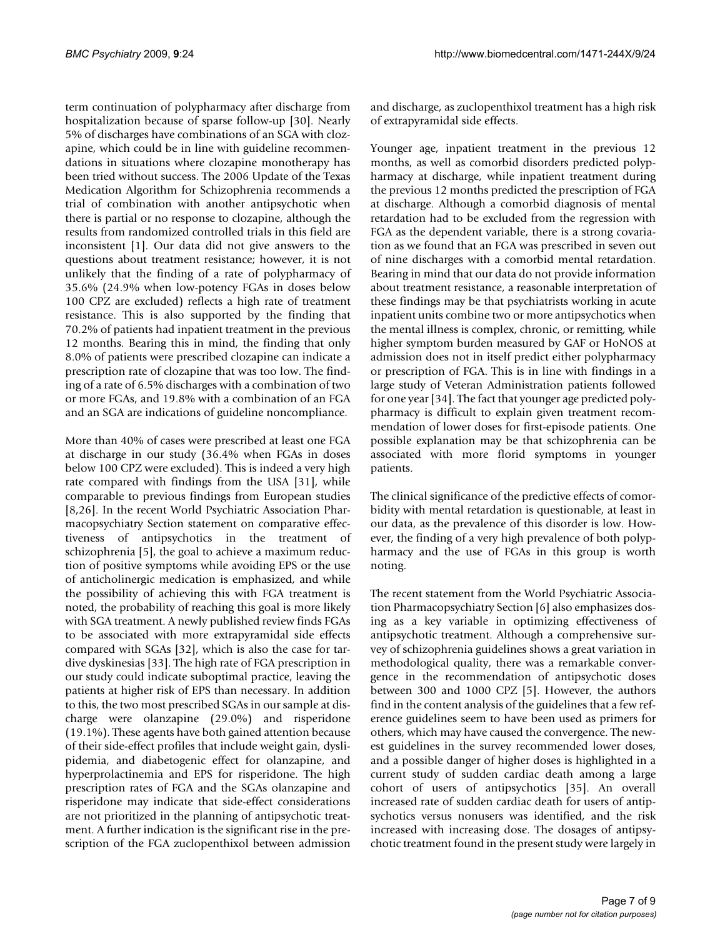term continuation of polypharmacy after discharge from hospitalization because of sparse follow-up [\[30\]](#page-8-16). Nearly 5% of discharges have combinations of an SGA with clozapine, which could be in line with guideline recommendations in situations where clozapine monotherapy has been tried without success. The 2006 Update of the Texas Medication Algorithm for Schizophrenia recommends a trial of combination with another antipsychotic when there is partial or no response to clozapine, although the results from randomized controlled trials in this field are inconsistent [\[1](#page-7-0)]. Our data did not give answers to the questions about treatment resistance; however, it is not unlikely that the finding of a rate of polypharmacy of 35.6% (24.9% when low-potency FGAs in doses below 100 CPZ are excluded) reflects a high rate of treatment resistance. This is also supported by the finding that 70.2% of patients had inpatient treatment in the previous 12 months. Bearing this in mind, the finding that only 8.0% of patients were prescribed clozapine can indicate a prescription rate of clozapine that was too low. The finding of a rate of 6.5% discharges with a combination of two or more FGAs, and 19.8% with a combination of an FGA and an SGA are indications of guideline noncompliance.

More than 40% of cases were prescribed at least one FGA at discharge in our study (36.4% when FGAs in doses below 100 CPZ were excluded). This is indeed a very high rate compared with findings from the USA [[31\]](#page-8-17), while comparable to previous findings from European studies [[8](#page-7-6)[,26](#page-8-12)]. In the recent World Psychiatric Association Pharmacopsychiatry Section statement on comparative effectiveness of antipsychotics in the treatment of schizophrenia [[5\]](#page-7-3), the goal to achieve a maximum reduction of positive symptoms while avoiding EPS or the use of anticholinergic medication is emphasized, and while the possibility of achieving this with FGA treatment is noted, the probability of reaching this goal is more likely with SGA treatment. A newly published review finds FGAs to be associated with more extrapyramidal side effects compared with SGAs [\[32\]](#page-8-18), which is also the case for tardive dyskinesias [[33\]](#page-8-19). The high rate of FGA prescription in our study could indicate suboptimal practice, leaving the patients at higher risk of EPS than necessary. In addition to this, the two most prescribed SGAs in our sample at discharge were olanzapine (29.0%) and risperidone (19.1%). These agents have both gained attention because of their side-effect profiles that include weight gain, dyslipidemia, and diabetogenic effect for olanzapine, and hyperprolactinemia and EPS for risperidone. The high prescription rates of FGA and the SGAs olanzapine and risperidone may indicate that side-effect considerations are not prioritized in the planning of antipsychotic treatment. A further indication is the significant rise in the prescription of the FGA zuclopenthixol between admission and discharge, as zuclopenthixol treatment has a high risk of extrapyramidal side effects.

Younger age, inpatient treatment in the previous 12 months, as well as comorbid disorders predicted polypharmacy at discharge, while inpatient treatment during the previous 12 months predicted the prescription of FGA at discharge. Although a comorbid diagnosis of mental retardation had to be excluded from the regression with FGA as the dependent variable, there is a strong covariation as we found that an FGA was prescribed in seven out of nine discharges with a comorbid mental retardation. Bearing in mind that our data do not provide information about treatment resistance, a reasonable interpretation of these findings may be that psychiatrists working in acute inpatient units combine two or more antipsychotics when the mental illness is complex, chronic, or remitting, while higher symptom burden measured by GAF or HoNOS at admission does not in itself predict either polypharmacy or prescription of FGA. This is in line with findings in a large study of Veteran Administration patients followed for one year [\[34](#page-8-20)]. The fact that younger age predicted polypharmacy is difficult to explain given treatment recommendation of lower doses for first-episode patients. One possible explanation may be that schizophrenia can be associated with more florid symptoms in younger patients.

The clinical significance of the predictive effects of comorbidity with mental retardation is questionable, at least in our data, as the prevalence of this disorder is low. However, the finding of a very high prevalence of both polypharmacy and the use of FGAs in this group is worth noting.

The recent statement from the World Psychiatric Association Pharmacopsychiatry Section [[6](#page-7-4)] also emphasizes dosing as a key variable in optimizing effectiveness of antipsychotic treatment. Although a comprehensive survey of schizophrenia guidelines shows a great variation in methodological quality, there was a remarkable convergence in the recommendation of antipsychotic doses between 300 and 1000 CPZ [[5](#page-7-3)]. However, the authors find in the content analysis of the guidelines that a few reference guidelines seem to have been used as primers for others, which may have caused the convergence. The newest guidelines in the survey recommended lower doses, and a possible danger of higher doses is highlighted in a current study of sudden cardiac death among a large cohort of users of antipsychotics [\[35](#page-8-21)]. An overall increased rate of sudden cardiac death for users of antipsychotics versus nonusers was identified, and the risk increased with increasing dose. The dosages of antipsychotic treatment found in the present study were largely in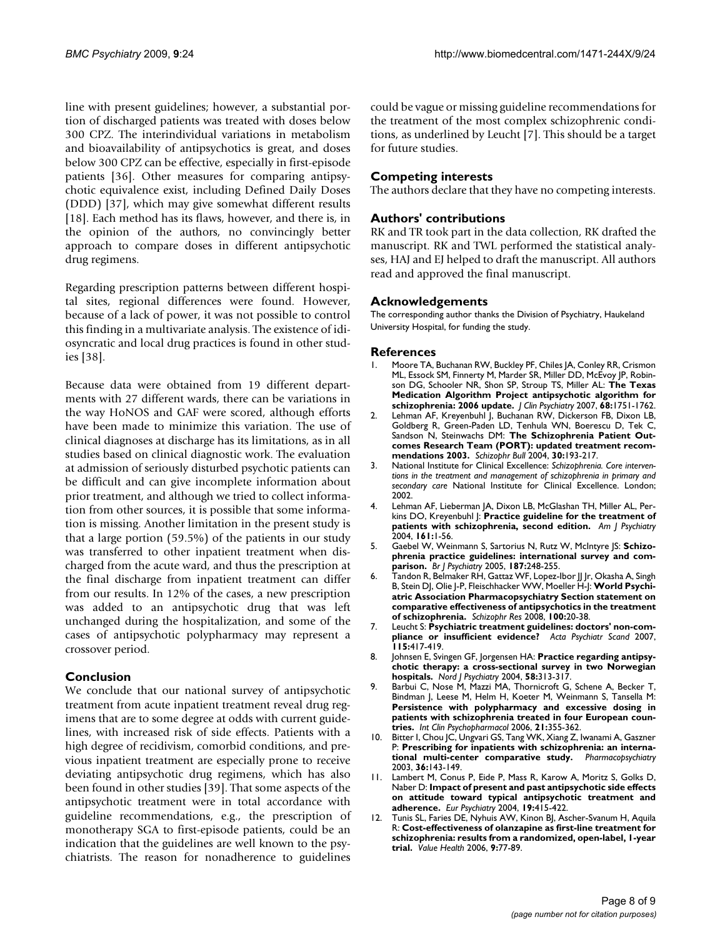line with present guidelines; however, a substantial portion of discharged patients was treated with doses below 300 CPZ. The interindividual variations in metabolism and bioavailability of antipsychotics is great, and doses below 300 CPZ can be effective, especially in first-episode patients [\[36](#page-8-22)]. Other measures for comparing antipsychotic equivalence exist, including Defined Daily Doses (DDD) [[37](#page-8-23)], which may give somewhat different results [[18](#page-8-5)]. Each method has its flaws, however, and there is, in the opinion of the authors, no convincingly better approach to compare doses in different antipsychotic drug regimens.

Regarding prescription patterns between different hospital sites, regional differences were found. However, because of a lack of power, it was not possible to control this finding in a multivariate analysis. The existence of idiosyncratic and local drug practices is found in other studies [\[38](#page-8-24)].

Because data were obtained from 19 different departments with 27 different wards, there can be variations in the way HoNOS and GAF were scored, although efforts have been made to minimize this variation. The use of clinical diagnoses at discharge has its limitations, as in all studies based on clinical diagnostic work. The evaluation at admission of seriously disturbed psychotic patients can be difficult and can give incomplete information about prior treatment, and although we tried to collect information from other sources, it is possible that some information is missing. Another limitation in the present study is that a large portion (59.5%) of the patients in our study was transferred to other inpatient treatment when discharged from the acute ward, and thus the prescription at the final discharge from inpatient treatment can differ from our results. In 12% of the cases, a new prescription was added to an antipsychotic drug that was left unchanged during the hospitalization, and some of the cases of antipsychotic polypharmacy may represent a crossover period.

# **Conclusion**

We conclude that our national survey of antipsychotic treatment from acute inpatient treatment reveal drug regimens that are to some degree at odds with current guidelines, with increased risk of side effects. Patients with a high degree of recidivism, comorbid conditions, and previous inpatient treatment are especially prone to receive deviating antipsychotic drug regimens, which has also been found in other studies [[39](#page-8-25)]. That some aspects of the antipsychotic treatment were in total accordance with guideline recommendations, e.g., the prescription of monotherapy SGA to first-episode patients, could be an indication that the guidelines are well known to the psychiatrists. The reason for nonadherence to guidelines could be vague or missing guideline recommendations for the treatment of the most complex schizophrenic conditions, as underlined by Leucht [[7\]](#page-7-5). This should be a target for future studies.

# **Competing interests**

The authors declare that they have no competing interests.

# **Authors' contributions**

RK and TR took part in the data collection, RK drafted the manuscript. RK and TWL performed the statistical analyses, HAJ and EJ helped to draft the manuscript. All authors read and approved the final manuscript.

# **Acknowledgements**

The corresponding author thanks the Division of Psychiatry, Haukeland University Hospital, for funding the study.

### **References**

- <span id="page-7-0"></span>1. Moore TA, Buchanan RW, Buckley PF, Chiles JA, Conley RR, Crismon ML, Essock SM, Finnerty M, Marder SR, Miller DD, McEvoy JP, Robinson DG, Schooler NR, Shon SP, Stroup TS, Miller AL: **[The Texas](http://www.ncbi.nlm.nih.gov/entrez/query.fcgi?cmd=Retrieve&db=PubMed&dopt=Abstract&list_uids=18052569) [Medication Algorithm Project antipsychotic algorithm for](http://www.ncbi.nlm.nih.gov/entrez/query.fcgi?cmd=Retrieve&db=PubMed&dopt=Abstract&list_uids=18052569) [schizophrenia: 2006 update.](http://www.ncbi.nlm.nih.gov/entrez/query.fcgi?cmd=Retrieve&db=PubMed&dopt=Abstract&list_uids=18052569)** *J Clin Psychiatry* 2007, **68:**1751-1762.
- 2. Lehman AF, Kreyenbuhl J, Buchanan RW, Dickerson FB, Dixon LB, Goldberg R, Green-Paden LD, Tenhula WN, Boerescu D, Tek C, Sandson N, Steinwachs DM: **[The Schizophrenia Patient Out](http://www.ncbi.nlm.nih.gov/entrez/query.fcgi?cmd=Retrieve&db=PubMed&dopt=Abstract&list_uids=15279040)[comes Research Team \(PORT\): updated treatment recom](http://www.ncbi.nlm.nih.gov/entrez/query.fcgi?cmd=Retrieve&db=PubMed&dopt=Abstract&list_uids=15279040)[mendations 2003.](http://www.ncbi.nlm.nih.gov/entrez/query.fcgi?cmd=Retrieve&db=PubMed&dopt=Abstract&list_uids=15279040)** *Schizophr Bull* 2004, **30:**193-217.
- <span id="page-7-2"></span>3. National Institute for Clinical Excellence: *Schizophrenia. Core interventions in the treatment and management of schizophrenia in primary and secondary care* National Institute for Clinical Excellence. London; 2002.
- <span id="page-7-1"></span>4. Lehman AF, Lieberman JA, Dixon LB, McGlashan TH, Miller AL, Perkins DO, Kreyenbuhl J: **[Practice guideline for the treatment of](http://www.ncbi.nlm.nih.gov/entrez/query.fcgi?cmd=Retrieve&db=PubMed&dopt=Abstract&list_uids=15000267) [patients with schizophrenia, second edition.](http://www.ncbi.nlm.nih.gov/entrez/query.fcgi?cmd=Retrieve&db=PubMed&dopt=Abstract&list_uids=15000267)** *Am J Psychiatry* 2004, **161:**1-56.
- <span id="page-7-3"></span>5. Gaebel W, Weinmann S, Sartorius N, Rutz W, McIntyre JS: **[Schizo](http://www.ncbi.nlm.nih.gov/entrez/query.fcgi?cmd=Retrieve&db=PubMed&dopt=Abstract&list_uids=16135862)[phrenia practice guidelines: international survey and com](http://www.ncbi.nlm.nih.gov/entrez/query.fcgi?cmd=Retrieve&db=PubMed&dopt=Abstract&list_uids=16135862)[parison.](http://www.ncbi.nlm.nih.gov/entrez/query.fcgi?cmd=Retrieve&db=PubMed&dopt=Abstract&list_uids=16135862)** *Br J Psychiatry* 2005, **187:**248-255.
- <span id="page-7-4"></span>6. Tandon R, Belmaker RH, Gattaz WF, Lopez-Ibor JJ Jr, Okasha A, Singh B, Stein DJ, Olie J-P, Fleischhacker WW, Moeller H-J: **[World Psychi](http://www.ncbi.nlm.nih.gov/entrez/query.fcgi?cmd=Retrieve&db=PubMed&dopt=Abstract&list_uids=18243663)[atric Association Pharmacopsychiatry Section statement on](http://www.ncbi.nlm.nih.gov/entrez/query.fcgi?cmd=Retrieve&db=PubMed&dopt=Abstract&list_uids=18243663) comparative effectiveness of antipsychotics in the treatment [of schizophrenia.](http://www.ncbi.nlm.nih.gov/entrez/query.fcgi?cmd=Retrieve&db=PubMed&dopt=Abstract&list_uids=18243663)** *Schizophr Res* 2008, **100:**20-38.
- <span id="page-7-5"></span>7. Leucht S: **[Psychiatric treatment guidelines: doctors' non-com](http://www.ncbi.nlm.nih.gov/entrez/query.fcgi?cmd=Retrieve&db=PubMed&dopt=Abstract&list_uids=17498152)[pliance or insufficient evidence?](http://www.ncbi.nlm.nih.gov/entrez/query.fcgi?cmd=Retrieve&db=PubMed&dopt=Abstract&list_uids=17498152)** *Acta Psychiatr Scand* 2007, **115:**417-419.
- <span id="page-7-6"></span>8. Johnsen E, Svingen GF, Jorgensen HA: **[Practice regarding antipsy](http://www.ncbi.nlm.nih.gov/entrez/query.fcgi?cmd=Retrieve&db=PubMed&dopt=Abstract&list_uids=15370781)[chotic therapy: a cross-sectional survey in two Norwegian](http://www.ncbi.nlm.nih.gov/entrez/query.fcgi?cmd=Retrieve&db=PubMed&dopt=Abstract&list_uids=15370781) [hospitals.](http://www.ncbi.nlm.nih.gov/entrez/query.fcgi?cmd=Retrieve&db=PubMed&dopt=Abstract&list_uids=15370781)** *Nord J Psychiatry* 2004, **58:**313-317.
- 9. Barbui C, Nose M, Mazzi MA, Thornicroft G, Schene A, Becker T, Bindman J, Leese M, Helm H, Koeter M, Weinmann S, Tansella M: **[Persistence with polypharmacy and excessive dosing in](http://www.ncbi.nlm.nih.gov/entrez/query.fcgi?cmd=Retrieve&db=PubMed&dopt=Abstract&list_uids=17012982) patients with schizophrenia treated in four European coun[tries.](http://www.ncbi.nlm.nih.gov/entrez/query.fcgi?cmd=Retrieve&db=PubMed&dopt=Abstract&list_uids=17012982)** *Int Clin Psychopharmacol* 2006, **21:**355-362.
- <span id="page-7-7"></span>10. Bitter I, Chou JC, Ungvari GS, Tang WK, Xiang Z, Iwanami A, Gaszner P: **[Prescribing for inpatients with schizophrenia: an interna](http://www.ncbi.nlm.nih.gov/entrez/query.fcgi?cmd=Retrieve&db=PubMed&dopt=Abstract&list_uids=12905100)[tional multi-center comparative study.](http://www.ncbi.nlm.nih.gov/entrez/query.fcgi?cmd=Retrieve&db=PubMed&dopt=Abstract&list_uids=12905100)** *Pharmacopsychiatry* 2003, **36:**143-149.
- <span id="page-7-8"></span>11. Lambert M, Conus P, Eide P, Mass R, Karow A, Moritz S, Golks D, Naber D: **[Impact of present and past antipsychotic side effects](http://www.ncbi.nlm.nih.gov/entrez/query.fcgi?cmd=Retrieve&db=PubMed&dopt=Abstract&list_uids=15504648) [on attitude toward typical antipsychotic treatment and](http://www.ncbi.nlm.nih.gov/entrez/query.fcgi?cmd=Retrieve&db=PubMed&dopt=Abstract&list_uids=15504648) [adherence.](http://www.ncbi.nlm.nih.gov/entrez/query.fcgi?cmd=Retrieve&db=PubMed&dopt=Abstract&list_uids=15504648)** *Eur Psychiatry* 2004, **19:**415-422.
- <span id="page-7-9"></span>12. Tunis SL, Faries DE, Nyhuis AW, Kinon BJ, Ascher-Svanum H, Aquila R: **[Cost-effectiveness of olanzapine as first-line treatment for](http://www.ncbi.nlm.nih.gov/entrez/query.fcgi?cmd=Retrieve&db=PubMed&dopt=Abstract&list_uids=16626411) [schizophrenia: results from a randomized, open-label, 1-year](http://www.ncbi.nlm.nih.gov/entrez/query.fcgi?cmd=Retrieve&db=PubMed&dopt=Abstract&list_uids=16626411) [trial.](http://www.ncbi.nlm.nih.gov/entrez/query.fcgi?cmd=Retrieve&db=PubMed&dopt=Abstract&list_uids=16626411)** *Value Health* 2006, **9:**77-89.